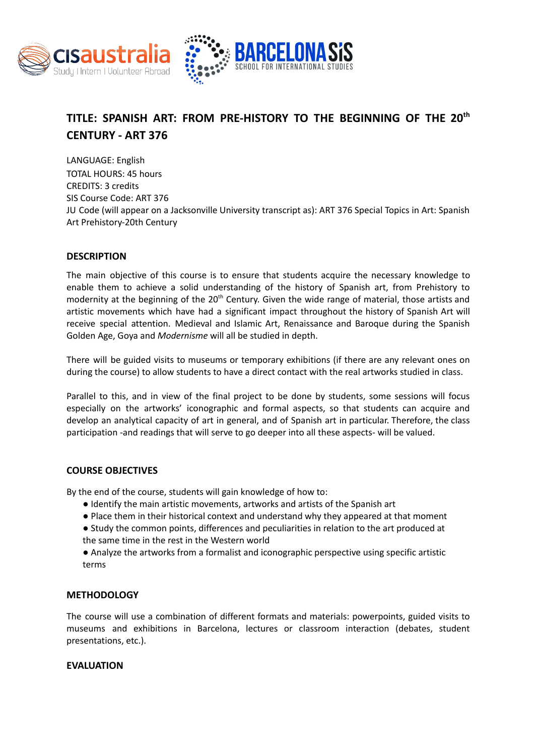



# **TITLE: SPANISH ART: FROM PRE-HISTORY TO THE BEGINNING OF THE 20 th CENTURY - ART 376**

LANGUAGE: English TOTAL HOURS: 45 hours CREDITS: 3 credits SIS Course Code: ART 376 JU Code (will appear on a Jacksonville University transcript as): ART 376 Special Topics in Art: Spanish Art Prehistory-20th Century

# **DESCRIPTION**

The main objective of this course is to ensure that students acquire the necessary knowledge to enable them to achieve a solid understanding of the history of Spanish art, from Prehistory to modernity at the beginning of the 20<sup>th</sup> Century. Given the wide range of material, those artists and artistic movements which have had a significant impact throughout the history of Spanish Art will receive special attention. Medieval and Islamic Art, Renaissance and Baroque during the Spanish Golden Age, Goya and *Modernisme* will all be studied in depth.

There will be guided visits to museums or temporary exhibitions (if there are any relevant ones on during the course) to allow students to have a direct contact with the real artworks studied in class.

Parallel to this, and in view of the final project to be done by students, some sessions will focus especially on the artworks' iconographic and formal aspects, so that students can acquire and develop an analytical capacity of art in general, and of Spanish art in particular. Therefore, the class participation -and readings that will serve to go deeper into all these aspects- will be valued.

# **COURSE OBJECTIVES**

By the end of the course, students will gain knowledge of how to:

- Identify the main artistic movements, artworks and artists of the Spanish art
- Place them in their historical context and understand why they appeared at that moment
- Study the common points, differences and peculiarities in relation to the art produced at the same time in the rest in the Western world
- Analyze the artworks from a formalist and iconographic perspective using specific artistic terms

# **METHODOLOGY**

The course will use a combination of different formats and materials: powerpoints, guided visits to museums and exhibitions in Barcelona, lectures or classroom interaction (debates, student presentations, etc.).

### **EVALUATION**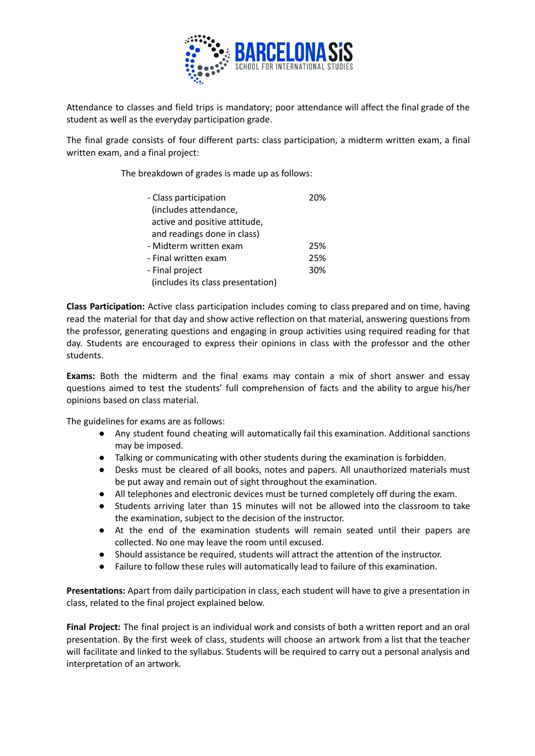

Attendance to classes and field trips is mandatory; poor attendance will affect the final grade of the student as well as the everyday participation grade.

The final grade consists of four different parts: class participation, a midterm written exam, a final written exam, and a final project:

The breakdown of grades is made up as follows:

| - Class participation             |  |
|-----------------------------------|--|
| (includes attendance,             |  |
| active and positive attitude,     |  |
| and readings done in class)       |  |
| - Midterm written exam<br>25%     |  |
| 25%<br>- Final written exam       |  |
| - Final project<br>30%            |  |
| (includes its class presentation) |  |

**Class Participation:** Active class participation includes coming to class prepared and on time, having read the material for that day and show active reflection on that material, answering questions from the professor, generating questions and engaging in group activities using required reading for that day. Students are encouraged to express their opinions in class with the professor and the other students.

**Exams:** Both the midterm and the final exams may contain a mix of short answer and essay questions aimed to test the students' full comprehension of facts and the ability to argue his/her opinions based on class material.

The guidelines for exams are as follows:

- Any student found cheating will automatically fail this examination. Additional sanctions may be imposed.
- Talking or communicating with other students during the examination is forbidden.
- Desks must be cleared of all books, notes and papers. All unauthorized materials must be put away and remain out of sight throughout the examination.
- All telephones and electronic devices must be turned completely off during the exam.
- Students arriving later than 15 minutes will not be allowed into the classroom to take the examination, subject to the decision of the instructor.
- At the end of the examination students will remain seated until their papers are collected. No one may leave the room until excused.
- Should assistance be required, students will attract the attention of the instructor.
- Failure to follow these rules will automatically lead to failure of this examination.

**Presentations:** Apart from daily participation in class, each student will have to give a presentation in class, related to the final project explained below.

**Final Project:** The final project is an individual work and consists of both a written report and an oral presentation. By the first week of class, students will choose an artwork from a list that the teacher will facilitate and linked to the syllabus. Students will be required to carry out a personal analysis and interpretation of an artwork.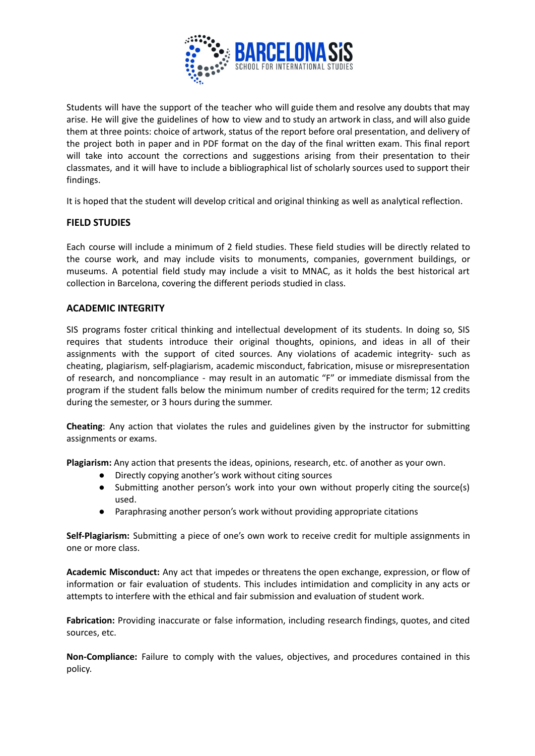

Students will have the support of the teacher who will guide them and resolve any doubts that may arise. He will give the guidelines of how to view and to study an artwork in class, and will also guide them at three points: choice of artwork, status of the report before oral presentation, and delivery of the project both in paper and in PDF format on the day of the final written exam. This final report will take into account the corrections and suggestions arising from their presentation to their classmates, and it will have to include a bibliographical list of scholarly sources used to support their findings.

It is hoped that the student will develop critical and original thinking as well as analytical reflection.

# **FIELD STUDIES**

Each course will include a minimum of 2 field studies. These field studies will be directly related to the course work, and may include visits to monuments, companies, government buildings, or museums. A potential field study may include a visit to MNAC, as it holds the best historical art collection in Barcelona, covering the different periods studied in class.

## **ACADEMIC INTEGRITY**

SIS programs foster critical thinking and intellectual development of its students. In doing so, SIS requires that students introduce their original thoughts, opinions, and ideas in all of their assignments with the support of cited sources. Any violations of academic integrity- such as cheating, plagiarism, self-plagiarism, academic misconduct, fabrication, misuse or misrepresentation of research, and noncompliance - may result in an automatic "F" or immediate dismissal from the program if the student falls below the minimum number of credits required for the term; 12 credits during the semester, or 3 hours during the summer.

**Cheating**: Any action that violates the rules and guidelines given by the instructor for submitting assignments or exams.

**Plagiarism:** Any action that presents the ideas, opinions, research, etc. of another as your own.

- Directly copying another's work without citing sources
- Submitting another person's work into your own without properly citing the source(s) used.
- Paraphrasing another person's work without providing appropriate citations

**Self-Plagiarism:** Submitting a piece of one's own work to receive credit for multiple assignments in one or more class.

**Academic Misconduct:** Any act that impedes or threatens the open exchange, expression, or flow of information or fair evaluation of students. This includes intimidation and complicity in any acts or attempts to interfere with the ethical and fair submission and evaluation of student work.

**Fabrication:** Providing inaccurate or false information, including research findings, quotes, and cited sources, etc.

**Non-Compliance:** Failure to comply with the values, objectives, and procedures contained in this policy.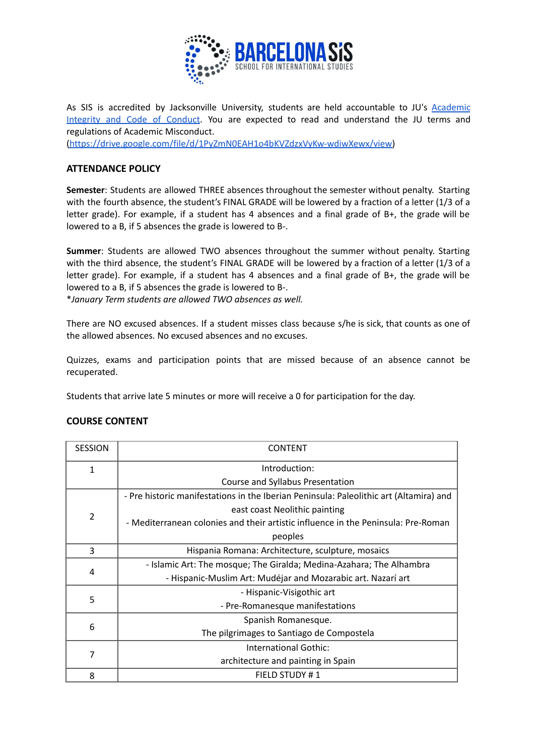

As SIS is accredited by Jacksonville University, students are held accountable to JU's [Academic](https://drive.google.com/file/d/1PyZmN0EAH1o4bKVZdzxVyKw-wdiwXewx/view) [Integrity](https://drive.google.com/file/d/1PyZmN0EAH1o4bKVZdzxVyKw-wdiwXewx/view) and Code of Conduct. You are expected to read and understand the JU terms and regulations of Academic Misconduct.

[\(https://drive.google.com/file/d/1PyZmN0EAH1o4bKVZdzxVyKw-wdiwXewx/view\)](https://drive.google.com/file/d/1PyZmN0EAH1o4bKVZdzxVyKw-wdiwXewx/view)

## **ATTENDANCE POLICY**

**Semester**: Students are allowed THREE absences throughout the semester without penalty. Starting with the fourth absence, the student's FINAL GRADE will be lowered by a fraction of a letter (1/3 of a letter grade). For example, if a student has 4 absences and a final grade of B+, the grade will be lowered to a B, if 5 absences the grade is lowered to B-.

**Summer**: Students are allowed TWO absences throughout the summer without penalty. Starting with the third absence, the student's FINAL GRADE will be lowered by a fraction of a letter (1/3 of a letter grade). For example, if a student has 4 absences and a final grade of B+, the grade will be lowered to a B, if 5 absences the grade is lowered to B-.

\**January Term students are allowed TWO absences as well.*

There are NO excused absences. If a student misses class because s/he is sick, that counts as one of the allowed absences. No excused absences and no excuses.

Quizzes, exams and participation points that are missed because of an absence cannot be recuperated.

Students that arrive late 5 minutes or more will receive a 0 for participation for the day.

| <b>SESSION</b> | <b>CONTENT</b>                                                                         |
|----------------|----------------------------------------------------------------------------------------|
| $\mathbf{1}$   | Introduction:                                                                          |
|                | Course and Syllabus Presentation                                                       |
| $\overline{2}$ | - Pre historic manifestations in the Iberian Peninsula: Paleolithic art (Altamira) and |
|                | east coast Neolithic painting                                                          |
|                | - Mediterranean colonies and their artistic influence in the Peninsula: Pre-Roman      |
|                | peoples                                                                                |
| 3              | Hispania Romana: Architecture, sculpture, mosaics                                      |
| $\overline{4}$ | - Islamic Art: The mosque; The Giralda; Medina-Azahara; The Alhambra                   |
|                | - Hispanic-Muslim Art: Mudéjar and Mozarabic art. Nazarí art                           |
| 5              | - Hispanic-Visigothic art                                                              |
|                | - Pre-Romanesque manifestations                                                        |
| 6              | Spanish Romanesque.                                                                    |
|                | The pilgrimages to Santiago de Compostela                                              |
| 7              | International Gothic:                                                                  |
|                | architecture and painting in Spain                                                     |
| 8              | FIELD STUDY #1                                                                         |

# **COURSE CONTENT**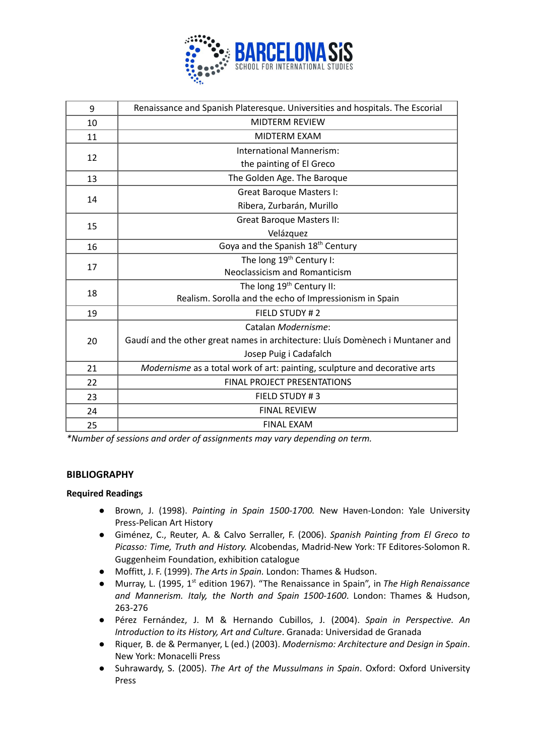

| 9  | Renaissance and Spanish Plateresque. Universities and hospitals. The Escorial  |
|----|--------------------------------------------------------------------------------|
| 10 | <b>MIDTERM REVIEW</b>                                                          |
| 11 | <b>MIDTERM EXAM</b>                                                            |
| 12 | International Mannerism:                                                       |
|    | the painting of El Greco                                                       |
| 13 | The Golden Age. The Baroque                                                    |
| 14 | <b>Great Baroque Masters I:</b>                                                |
|    | Ribera, Zurbarán, Murillo                                                      |
| 15 | <b>Great Baroque Masters II:</b>                                               |
|    | Velázquez                                                                      |
| 16 | Goya and the Spanish 18 <sup>th</sup> Century                                  |
| 17 | The long 19 <sup>th</sup> Century I:                                           |
|    | Neoclassicism and Romanticism                                                  |
| 18 | The long 19 <sup>th</sup> Century II:                                          |
|    | Realism. Sorolla and the echo of Impressionism in Spain                        |
| 19 | FIELD STUDY #2                                                                 |
| 20 | Catalan Modernisme:                                                            |
|    | Gaudí and the other great names in architecture: Lluís Domènech i Muntaner and |
|    | Josep Puig i Cadafalch                                                         |
| 21 | Modernisme as a total work of art: painting, sculpture and decorative arts     |
| 22 | <b>FINAL PROJECT PRESENTATIONS</b>                                             |
| 23 | FIELD STUDY #3                                                                 |
| 24 | <b>FINAL REVIEW</b>                                                            |
| 25 | <b>FINAL EXAM</b>                                                              |

*\*Number of sessions and order of assignments may vary depending on term.*

### **BIBLIOGRAPHY**

### **Required Readings**

- Brown, J. (1998). *Painting in Spain 1500-1700.* New Haven-London: Yale University Press-Pelican Art History
- Giménez, C., Reuter, A. & Calvo Serraller, F. (2006). *Spanish Painting from El Greco to Picasso: Time, Truth and History.* Alcobendas, Madrid-New York: TF Editores-Solomon R. Guggenheim Foundation, exhibition catalogue
- Moffitt, J. F. (1999). *The Arts in Spain.* London: Thames & Hudson.
- Murray, L. (1995, 1<sup>st</sup> edition 1967). "The Renaissance in Spain", in *The High Renaissance and Mannerism. Italy, the North and Spain 1500-1600*. London: Thames & Hudson, 263-276
- Pérez Fernández, J. M & Hernando Cubillos, J. (2004). *Spain in Perspective. An Introduction to its History, Art and Culture*. Granada: Universidad de Granada
- Riquer, B. de & Permanyer, L (ed.) (2003). *Modernismo: Architecture and Design in Spain*. New York: Monacelli Press
- Suhrawardy, S. (2005). *The Art of the Mussulmans in Spain*. Oxford: Oxford University Press